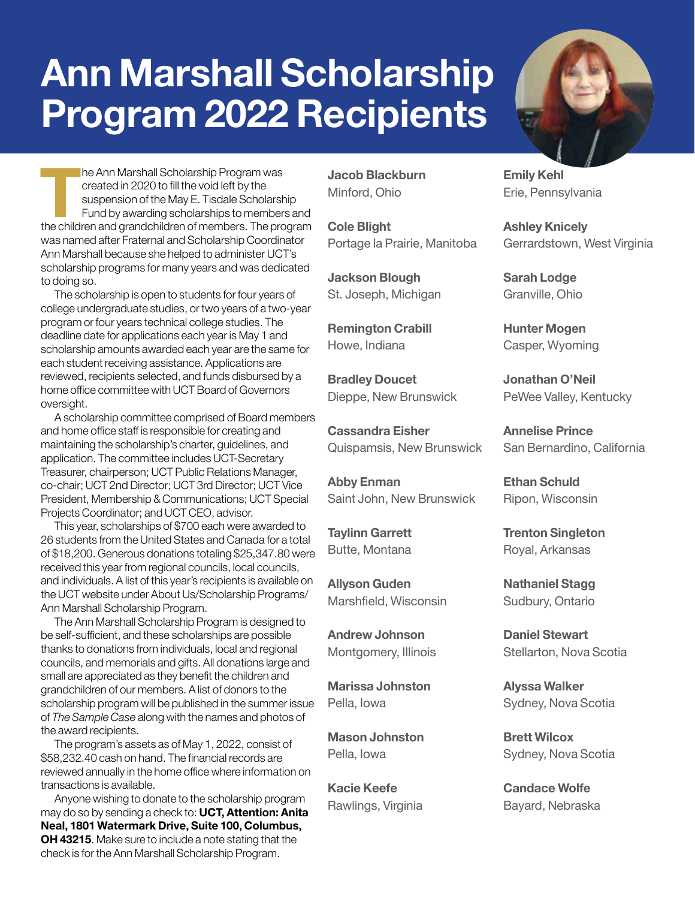## **Ann Marshall Scholarship Program 2022 Recipients**



**The Ann Marshall Scholarship Program was**<br>
created in 2020 to fill the void left by the<br>
suspension of the May E. Tisdale Scholarship<br>
Fund by awarding scholarships to members and<br>
the children and grandchildren of member created in 2020 to fill the void left by the suspension of the May E. Tisdale Scholarship Fund by awarding scholarships to members and was named after Fraternal and Scholarship Coordinator Ann Marshall because she helped to administer UCT's scholarship programs for many years and was dedicated to doing so.

The scholarship is open to students for four years of college undergraduate studies, or two years of a two-year program or four years technical college studies. The deadline date for applications each year is May 1 and scholarship amounts awarded each year are the same for each student receiving assistance. Applications are reviewed, recipients selected, and funds disbursed by a home office committee with UCT Board of Governors oversight.

A scholarship committee comprised of Board members and home office staff is responsible for creating and maintaining the scholarship's charter, guidelines, and application. The committee includes UCT-Secretary Treasurer, chairperson; UCT Public Relations Manager, co-chair; UCT 2nd Director; UCT 3rd Director; UCT Vice President, Membership & Communications; UCT Special Projects Coordinator; and UCT CEO, advisor.

This year, scholarships of \$700 each were awarded to 26 students from the United States and Canada for a total of \$18,200. Generous donations totaling \$25,347.80 were received this year from regional councils, local councils, and individuals. A list of this year's recipients is available on the UCT website under About Us/Scholarship Programs/ Ann Marshall Scholarship Program.

The Ann Marshall Scholarship Program is designed to be self-sufficient, and these scholarships are possible thanks to donations from individuals, local and regional councils, and memorials and gifts. All donations large and small are appreciated as they benefit the children and grandchildren of our members. A list of donors to the scholarship program will be published in the summer issue of *The Sample Case* along with the names and photos of the award recipients.

The program's assets as of May 1, 2022, consist of \$58,232.40 cash on hand. The financial records are reviewed annually in the home office where information on transactions is available.

Anyone wishing to donate to the scholarship program may do so by sending a check to: **UCT, Attention: Anita Neal, 1801 Watermark Drive, Suite 100, Columbus, OH 43215**. Make sure to include a note stating that the check is for the Ann Marshall Scholarship Program.

**Jacob Blackburn** Minford, Ohio

**Cole Blight** Portage la Prairie, Manitoba

**Jackson Blough** St. Joseph, Michigan

**Remington Crabill** Howe, Indiana

**Bradley Doucet** Dieppe, New Brunswick

**Cassandra Eisher** Quispamsis, New Brunswick

**Abby Enman** Saint John, New Brunswick

**Taylinn Garrett** Butte, Montana

**Allyson Guden** Marshfield, Wisconsin

**Andrew Johnson** Montgomery, Illinois

**Marissa Johnston** Pella, Iowa

**Mason Johnston** Pella, Iowa

**Kacie Keefe** Rawlings, Virginia **Emily Kehl** Erie, Pennsylvania

**Ashley Knicely** Gerrardstown, West Virginia

**Sarah Lodge** Granville, Ohio

**Hunter Mogen** Casper, Wyoming

**Jonathan O'Neil** PeWee Valley, Kentucky

**Annelise Prince** San Bernardino, California

**Ethan Schuld** Ripon, Wisconsin

**Trenton Singleton** Royal, Arkansas

**Nathaniel Stagg** Sudbury, Ontario

**Daniel Stewart** Stellarton, Nova Scotia

**Alyssa Walker** Sydney, Nova Scotia

**Brett Wilcox** Sydney, Nova Scotia

**Candace Wolfe** Bayard, Nebraska